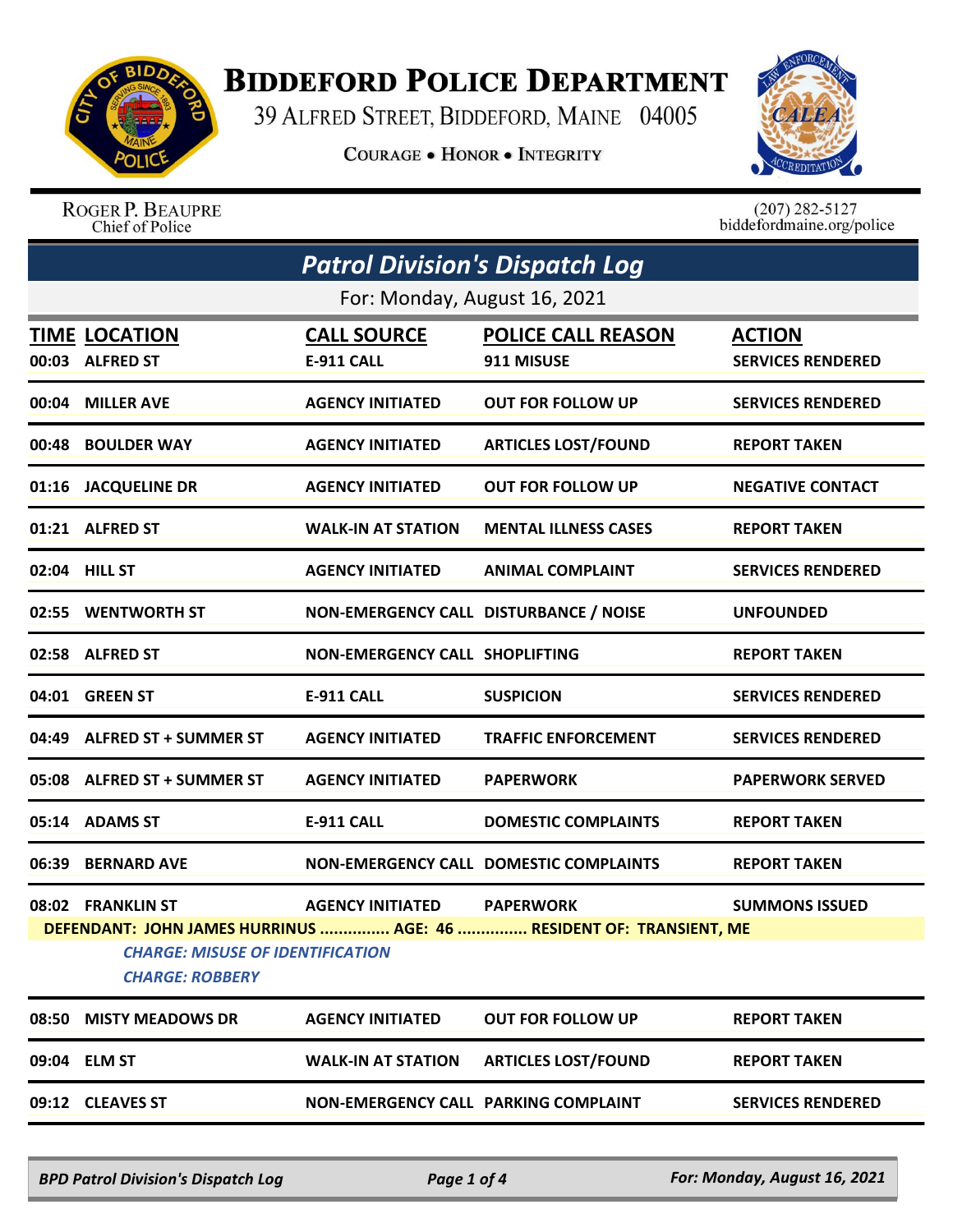

## **BIDDEFORD POLICE DEPARTMENT**

39 ALFRED STREET, BIDDEFORD, MAINE 04005

COURAGE . HONOR . INTEGRITY



## ROGER P. BEAUPRE Chief of Police

 $(207)$  282-5127<br>biddefordmaine.org/police

| <b>Patrol Division's Dispatch Log</b> |                                                                                        |                                        |                                                                     |                                           |  |  |  |  |
|---------------------------------------|----------------------------------------------------------------------------------------|----------------------------------------|---------------------------------------------------------------------|-------------------------------------------|--|--|--|--|
| For: Monday, August 16, 2021          |                                                                                        |                                        |                                                                     |                                           |  |  |  |  |
|                                       | <b>TIME LOCATION</b><br>00:03 ALFRED ST                                                | <u>CALL SOURCE</u><br>E-911 CALL       | <b>POLICE CALL REASON</b><br>911 MISUSE                             | <b>ACTION</b><br><b>SERVICES RENDERED</b> |  |  |  |  |
|                                       | 00:04 MILLER AVE                                                                       | <b>AGENCY INITIATED</b>                | <b>OUT FOR FOLLOW UP</b>                                            | <b>SERVICES RENDERED</b>                  |  |  |  |  |
|                                       | 00:48 BOULDER WAY                                                                      | <b>AGENCY INITIATED</b>                | <b>ARTICLES LOST/FOUND</b>                                          | <b>REPORT TAKEN</b>                       |  |  |  |  |
|                                       | 01:16 JACQUELINE DR                                                                    | <b>AGENCY INITIATED</b>                | <b>OUT FOR FOLLOW UP</b>                                            | <b>NEGATIVE CONTACT</b>                   |  |  |  |  |
|                                       | 01:21 ALFRED ST                                                                        | <b>WALK-IN AT STATION</b>              | <b>MENTAL ILLNESS CASES</b>                                         | <b>REPORT TAKEN</b>                       |  |  |  |  |
|                                       | 02:04 HILL ST                                                                          | <b>AGENCY INITIATED</b>                | <b>ANIMAL COMPLAINT</b>                                             | <b>SERVICES RENDERED</b>                  |  |  |  |  |
|                                       | 02:55 WENTWORTH ST                                                                     | NON-EMERGENCY CALL DISTURBANCE / NOISE |                                                                     | <b>UNFOUNDED</b>                          |  |  |  |  |
|                                       | 02:58 ALFRED ST                                                                        | NON-EMERGENCY CALL SHOPLIFTING         |                                                                     | <b>REPORT TAKEN</b>                       |  |  |  |  |
|                                       | 04:01 GREEN ST                                                                         | <b>E-911 CALL</b>                      | <b>SUSPICION</b>                                                    | <b>SERVICES RENDERED</b>                  |  |  |  |  |
|                                       | 04:49 ALFRED ST + SUMMER ST                                                            | <b>AGENCY INITIATED</b>                | <b>TRAFFIC ENFORCEMENT</b>                                          | <b>SERVICES RENDERED</b>                  |  |  |  |  |
|                                       | 05:08 ALFRED ST + SUMMER ST                                                            | <b>AGENCY INITIATED</b>                | <b>PAPERWORK</b>                                                    | <b>PAPERWORK SERVED</b>                   |  |  |  |  |
|                                       | 05:14 ADAMS ST                                                                         | <b>E-911 CALL</b>                      | <b>DOMESTIC COMPLAINTS</b>                                          | <b>REPORT TAKEN</b>                       |  |  |  |  |
|                                       | 06:39 BERNARD AVE                                                                      |                                        | NON-EMERGENCY CALL DOMESTIC COMPLAINTS                              | <b>REPORT TAKEN</b>                       |  |  |  |  |
|                                       | 08:02 FRANKLIN ST<br><b>CHARGE: MISUSE OF IDENTIFICATION</b><br><b>CHARGE: ROBBERY</b> | <b>AGENCY INITIATED PAPERWORK</b>      | DEFENDANT: JOHN JAMES HURRINUS  AGE: 46  RESIDENT OF: TRANSIENT, ME | <b>SUMMONS ISSUED</b>                     |  |  |  |  |
| 08:50                                 | <b>MISTY MEADOWS DR</b>                                                                | <b>AGENCY INITIATED</b>                | <b>OUT FOR FOLLOW UP</b>                                            | <b>REPORT TAKEN</b>                       |  |  |  |  |
|                                       | 09:04 ELM ST                                                                           | <b>WALK-IN AT STATION</b>              | <b>ARTICLES LOST/FOUND</b>                                          | <b>REPORT TAKEN</b>                       |  |  |  |  |
|                                       | 09:12 CLEAVES ST                                                                       | NON-EMERGENCY CALL PARKING COMPLAINT   |                                                                     | <b>SERVICES RENDERED</b>                  |  |  |  |  |

*BPD Patrol Division's Dispatch Log Page 1 of 4 For: Monday, August 16, 2021*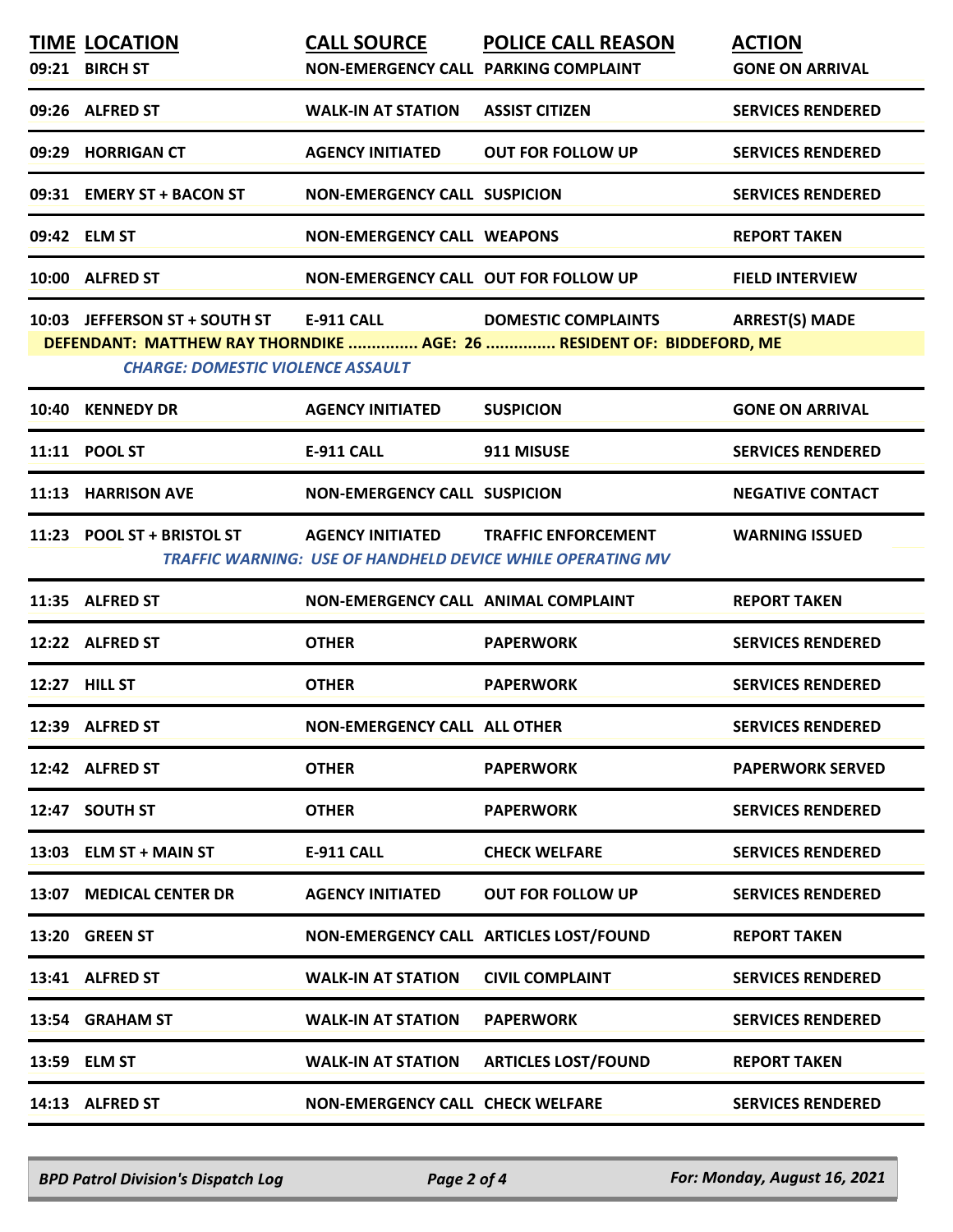| <b>TIME LOCATION</b>                                            |                                            | <b>CALL SOURCE POLICE CALL REASON</b>                                                               | <b>ACTION</b>            |
|-----------------------------------------------------------------|--------------------------------------------|-----------------------------------------------------------------------------------------------------|--------------------------|
| 09:21 BIRCH ST                                                  | NON-EMERGENCY CALL PARKING COMPLAINT       |                                                                                                     | <b>GONE ON ARRIVAL</b>   |
| 09:26 ALFRED ST                                                 | <b>WALK-IN AT STATION</b>                  | <b>ASSIST CITIZEN</b>                                                                               | <b>SERVICES RENDERED</b> |
| 09:29 HORRIGAN CT                                               | <b>AGENCY INITIATED</b>                    | <b>OUT FOR FOLLOW UP</b>                                                                            | <b>SERVICES RENDERED</b> |
| 09:31 EMERY ST + BACON ST                                       | <b>NON-EMERGENCY CALL SUSPICION</b>        |                                                                                                     | <b>SERVICES RENDERED</b> |
| 09:42 ELM ST                                                    | <b>NON-EMERGENCY CALL WEAPONS</b>          |                                                                                                     | <b>REPORT TAKEN</b>      |
| 10:00 ALFRED ST                                                 | NON-EMERGENCY CALL OUT FOR FOLLOW UP       |                                                                                                     | <b>FIELD INTERVIEW</b>   |
| 10:03 JEFFERSON ST + SOUTH ST E-911 CALL                        |                                            | <b>DOMESTIC COMPLAINTS</b><br>DEFENDANT: MATTHEW RAY THORNDIKE  AGE: 26  RESIDENT OF: BIDDEFORD, ME | <b>ARREST(S) MADE</b>    |
| <b>CHARGE: DOMESTIC VIOLENCE ASSAULT</b>                        |                                            |                                                                                                     |                          |
| 10:40 KENNEDY DR                                                | <b>AGENCY INITIATED</b>                    | <b>SUSPICION</b>                                                                                    | <b>GONE ON ARRIVAL</b>   |
| 11:11 POOL ST                                                   | <b>E-911 CALL</b>                          | 911 MISUSE                                                                                          | <b>SERVICES RENDERED</b> |
| 11:13 HARRISON AVE                                              | <b>NON-EMERGENCY CALL SUSPICION</b>        |                                                                                                     | <b>NEGATIVE CONTACT</b>  |
| 11:23 POOL ST + BRISTOL ST AGENCY INITIATED TRAFFIC ENFORCEMENT |                                            | <b>TRAFFIC WARNING: USE OF HANDHELD DEVICE WHILE OPERATING MV</b>                                   | <b>WARNING ISSUED</b>    |
| 11:35 ALFRED ST                                                 | <b>NON-EMERGENCY CALL ANIMAL COMPLAINT</b> |                                                                                                     | <b>REPORT TAKEN</b>      |
| 12:22 ALFRED ST                                                 | <b>OTHER</b>                               | <b>PAPERWORK</b>                                                                                    | <b>SERVICES RENDERED</b> |
| 12:27 HILL ST                                                   | <b>OTHER</b>                               | <b>PAPERWORK</b>                                                                                    | <b>SERVICES RENDERED</b> |
| 12:39 ALFRED ST                                                 | <b>NON-EMERGENCY CALL ALL OTHER</b>        |                                                                                                     | <b>SERVICES RENDERED</b> |
| 12:42 ALFRED ST                                                 | <b>OTHER</b>                               | <b>PAPERWORK</b>                                                                                    | <b>PAPERWORK SERVED</b>  |
| 12:47 SOUTH ST                                                  | <b>OTHER</b>                               | <b>PAPERWORK</b>                                                                                    | <b>SERVICES RENDERED</b> |
| 13:03 ELM ST + MAIN ST                                          | <b>E-911 CALL</b>                          | <b>CHECK WELFARE</b>                                                                                | <b>SERVICES RENDERED</b> |
| 13:07 MEDICAL CENTER DR                                         | <b>AGENCY INITIATED</b>                    | <b>OUT FOR FOLLOW UP</b>                                                                            | <b>SERVICES RENDERED</b> |
| 13:20 GREEN ST                                                  |                                            | NON-EMERGENCY CALL ARTICLES LOST/FOUND                                                              | <b>REPORT TAKEN</b>      |
| 13:41 ALFRED ST                                                 | <b>WALK-IN AT STATION</b>                  | <b>CIVIL COMPLAINT</b>                                                                              | <b>SERVICES RENDERED</b> |
| 13:54 GRAHAM ST                                                 | <b>WALK-IN AT STATION</b>                  | <b>PAPERWORK</b>                                                                                    | <b>SERVICES RENDERED</b> |
| 13:59 ELM ST                                                    | <b>WALK-IN AT STATION</b>                  | <b>ARTICLES LOST/FOUND</b>                                                                          | <b>REPORT TAKEN</b>      |
| 14:13 ALFRED ST                                                 | <b>NON-EMERGENCY CALL CHECK WELFARE</b>    |                                                                                                     | <b>SERVICES RENDERED</b> |
|                                                                 |                                            |                                                                                                     |                          |